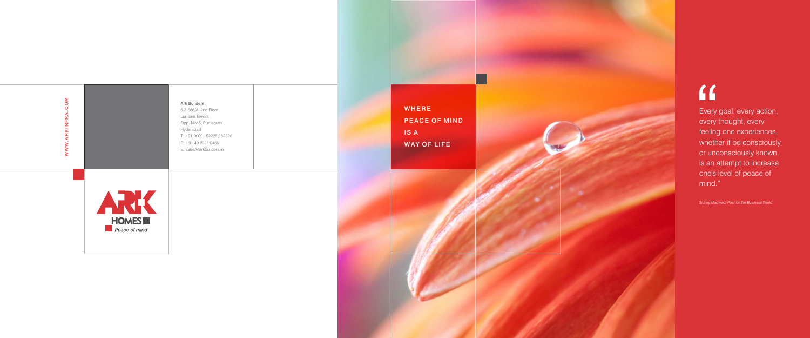

# $66$

WWW.ARKINFRA.COM WWW.ARKINFRA.COM

Ark Builders 6-3-666/A 2nd Floor Lumbini Towers Opp. NIMS Punjagutta Hyderabad<br>T: +91 90001 52225 / 62226 F: +91 40 2331 0465 E: sales@arkbuilders.in



WHERE

Every goal, every action, every thought, every feeling one experiences, whether it be consciously or unconsciously known, is an attempt to increase one's level of peace of mind."

*Sidney Madwed, Poet for the Business World*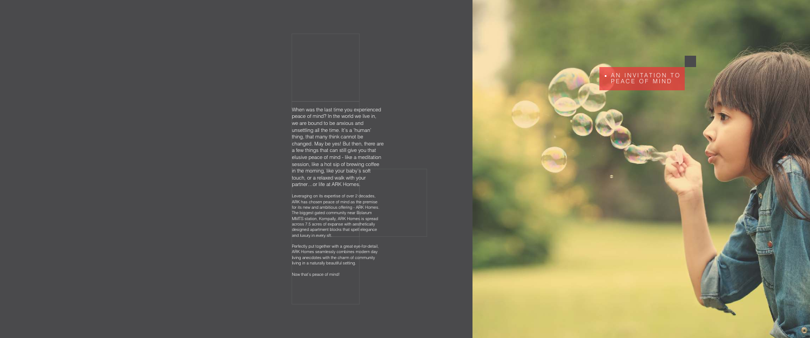When was the last time you experienced peace of mind? In the world we live in, we are bound to be anxious and unsettling all the time. It's a 'human' thing, that many think cannot be changed. May be yes! But then, there are a few things that can still give you that elusive peace of mind - like a meditation session, like a hot sip of brewing coffee in the morning, like your baby's soft touch, or a relaxed walk with your partner...or life at ARK Homes.

Leveraging on its expertise of over 2 decades, ARK has chosen peace of mind as the premise for its new and ambitious offering - ARK Homes. The biggest gated community near Bolarum MMTS station, Kompally, ARK Homes is spread across 7.5 acres of expanse with aesthetically designed apartment blocks that spell elegance<br>and luxury in every sft.

Perfectly put together with a great eye-for-detail, ARK Homes seamlessly combines modern day living anecdotes with the charm of community living in a naturally beautiful setting.

Now that's peace of mind!

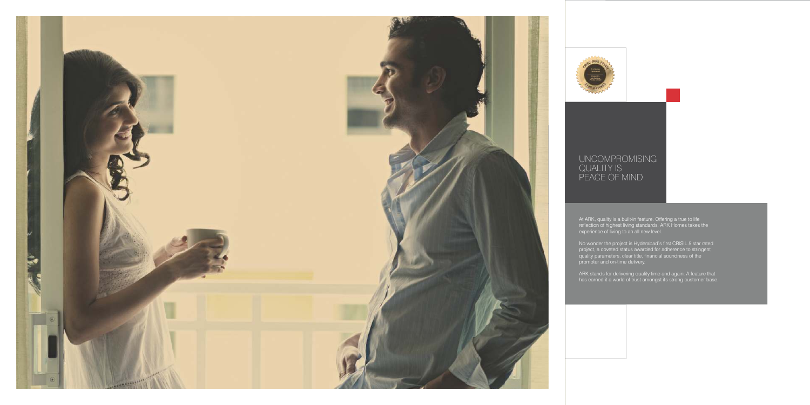### UNCOMPROMISING QUALITY IS PEACE OF MIND

At ARK, quality is a built-in feature. Offering a true to life reflection of highest living standards, ARK Homes takes the experience of living to an all new level.

No wonder the project is Hyderabad's first CRISIL 5 star rated project, a coveted status awarded for adherence to stringent quality parameters, clear title, financial soundness of the promoter and on-time delivery.

ARK stands for delivering quality time and again. A feature that has earned it a world of trust amongst its strong customer base.





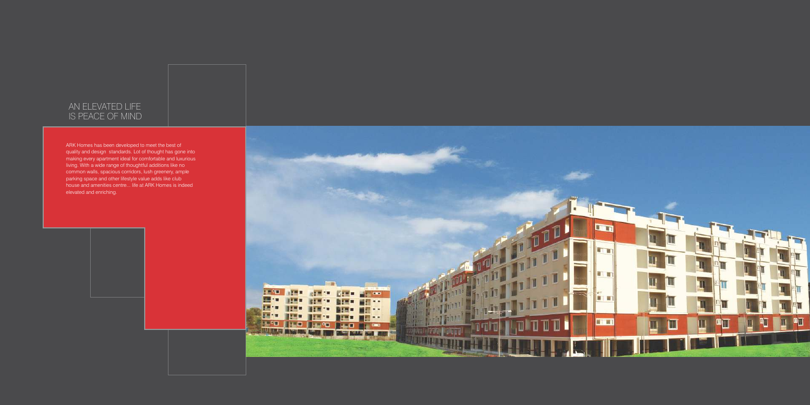#### AN ELEVATED LIFE IS PEACE OF MIND

ARK Homes has been developed to meet the best of quality and design standards. Lot of thought has gone into making every apartment ideal for comfortable and luxurious living. With a wide range of thoughtful additions like no common walls, spacious corridors, lush greenery, ample parking space and other lifestyle value adds like club house and amenities centre... life at ARK Homes is indeed elevated and enriching.

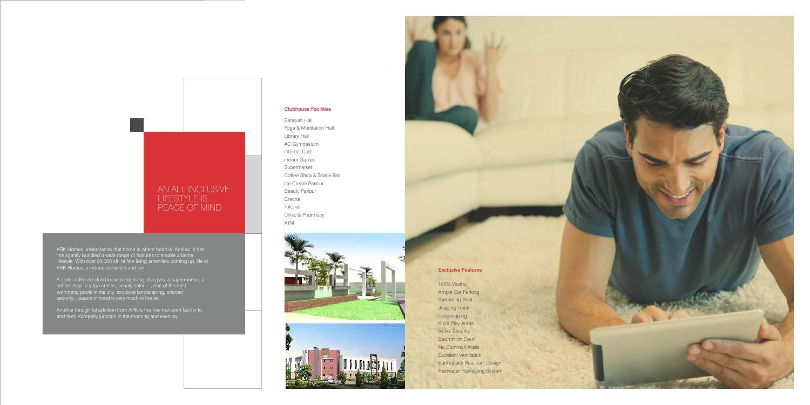#### Banquet Hall

Yoga & Meditation Hall Library Hall AC Gymnasium Internet Café Indoor Games Supermarket Coffee Shop & Snack Bar Ice Cream Parlour Beauty Parlour Creche Tutorial Clinic & Pharmacy ATM





Clubhouse Facilities



AN ALL INCLUSIVE

LIFESTYLE IS

Another thoughtful addition from ARK is the free transport facility to and from Kompally junction in the morning and evening.

PEACE OF MIND

#### ARK Homes understands that home is where heart is. And so, it has intelligently bundled a wide range of features to enable a better lifestyle. With over 24,000 sft. of fine living amenities coming up, life at

ARK Homes is indeed complete and fun.

A state-of-the-art club house comprising of a gym, a supermarket, a coffee shop, a yoga centre, beauty salon…, one of the best swimming pools in the city, exquisite landscaping, sharper security…peace of mind is very much in the air.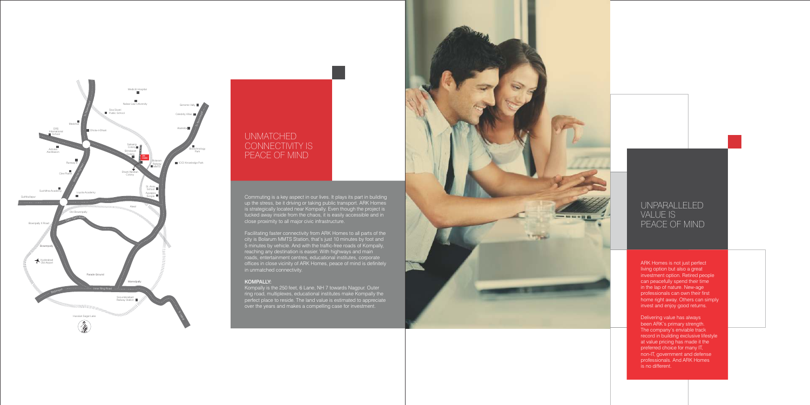## UNPARALLELED<br>VALUE IS PEACE OF MIND

ARK Homes is not just perfect living option but also a great investment option. Retired people can peacefully spend their time in the lap of nature. New-age professionals can own their first home right away. Others can simply invest and enjoy good returns.

Delivering value has always been ARK's primary strength. The company's enviable track record in building exclusive lifestyle at value pricing has made it the preferred choice for many IT, non-IT, government and defense professionals. And ARK Homes is no different.

close proximity to all major civic infrastructure.<br>Facilitating faster connectivity from ARK Homes to all parts of the city is Bolarum MMTS Station, that's just 10 minutes by foot and 5 minutes by vehicle. And with the traffic-free roads of Kompally, reaching any destination is easier. With highways and main roads, entertainment centres, educational institutes, corporate offices in close vicinity of ARK Homes, peace of mind is definitely in unmatched connectivity.

Commuting is a key aspect in our lives. It plays its part in building up the stress, be it driving or taking public transport. ARK Homes is strategically located near Kompally. Even though the project is tucked away inside from the chaos, it is easily accessible and in

## **UNMATCHED** CONNECTIVITY IS PEACE OF MIND

#### KOMPALLY:

Kompally is the 250 feet, 6 Lane, NH 7 towards Nagpur. Outer ring road, multiplexes, educational institutes make Kompally the perfect place to reside. The land value is estimated to appreciate over the years and makes a compelling case for investment.



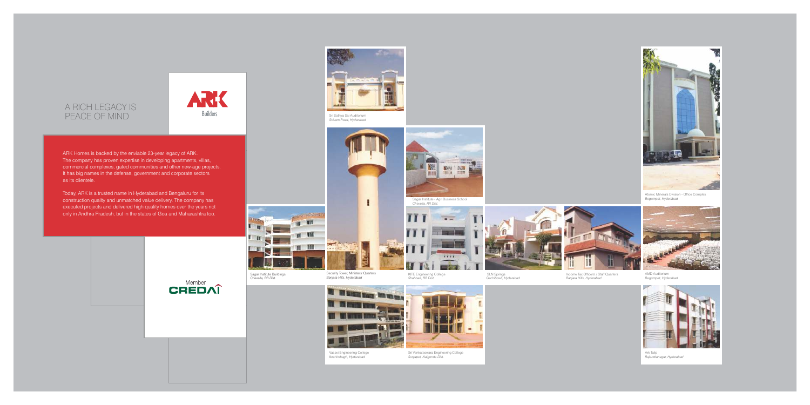

ARK Homes is backed by the enviable 23-year legacy of ARK. The company has proven expertise in developing apartments, villas, commercial complexes, gated communities and other new-age projects. It has big names in the defense, government and corporate sectors as its clientele.

Today, ARK is a trusted name in Hyderabad and Bengaluru for its construction quality and unmatched value delivery. The company has executed projects and delivered high quality homes over the years not only in Andhra Pradesh, but in the states of Goa and Maharashtra too.





Sagar Institute - Agri Business School *Chevella, RR Dist.*







Sri Sathya Sai Auditorium *Shivam Road, Hyderabad*







Sagar Institute Buildings *Chevella, RR Dist.*

KITE Engineering College *Shahbad, RR Dist.*



SLN Springs *Gachibowli, Hyderabad*

Income Tax Officers' / Staff Quarters *Banjara Hills, Hyderabad*

AMD Auditorium *Begumpet, Hyderabad* 



Ark Tulip *Rajendranagar, Hyderabad*

Sri Venkateswara Engineering College *Suryapet, Nalgonda Dist.*



Vasavi Engineering College *Ibrahimbagh, Hyderabad*





Atomic Minerals Division - Office Complex *Begumpet, Hyderabad*